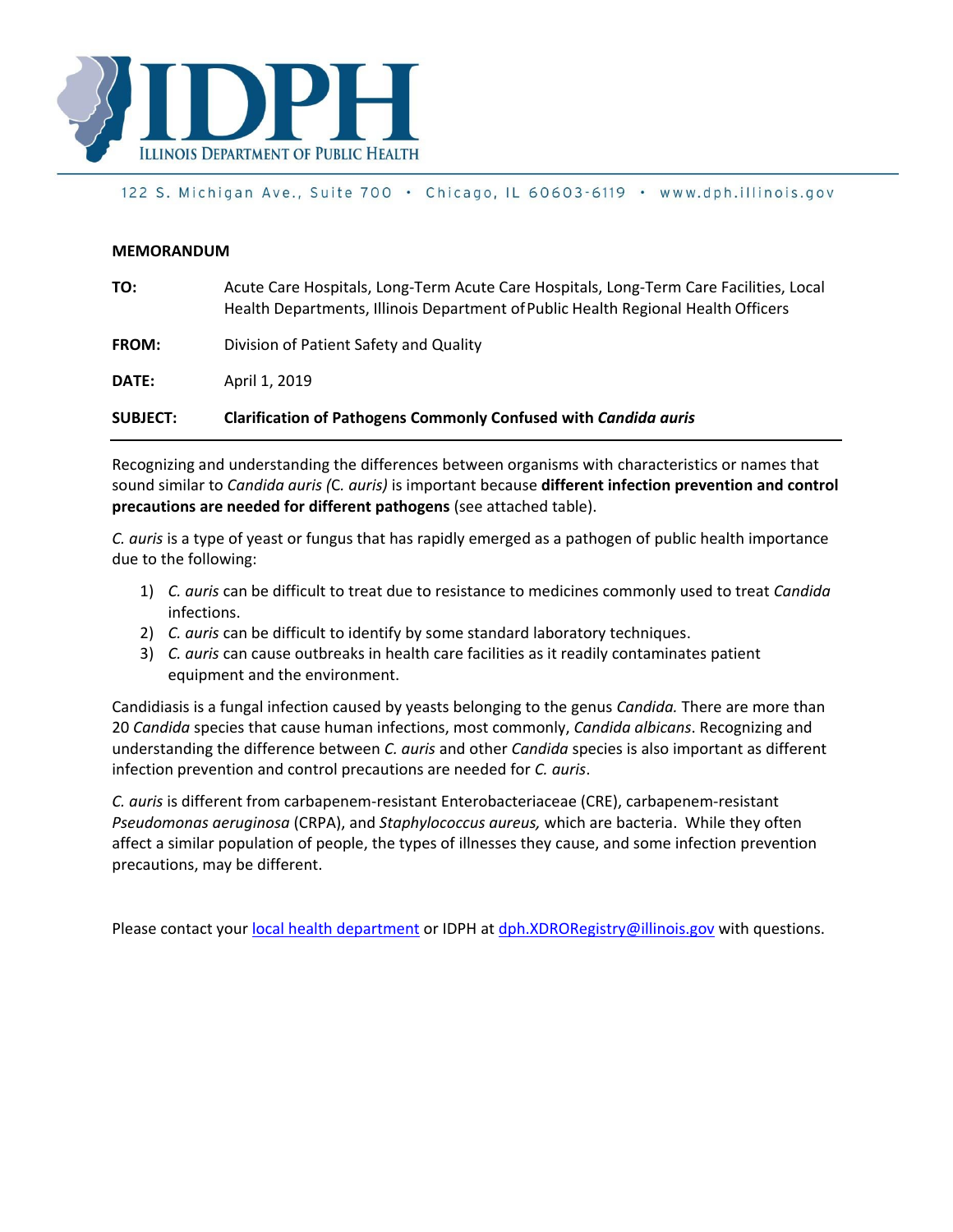

## 122 S. Michigan Ave., Suite 700 · Chicago, IL 60603-6119 · www.dph.illinois.gov

## **MEMORANDUM**

| <b>SUBJECT:</b> | Clarification of Pathogens Commonly Confused with Candida auris                                                                                                             |
|-----------------|-----------------------------------------------------------------------------------------------------------------------------------------------------------------------------|
| DATE:           | April 1, 2019                                                                                                                                                               |
| <b>FROM:</b>    | Division of Patient Safety and Quality                                                                                                                                      |
| TO:             | Acute Care Hospitals, Long-Term Acute Care Hospitals, Long-Term Care Facilities, Local<br>Health Departments, Illinois Department of Public Health Regional Health Officers |

Recognizing and understanding the differences between organisms with characteristics or names that sound similar to *Candida auris (*C*. auris)* is important because **different infection prevention and control precautions are needed for different pathogens** (see attached table).

*C. auris* is a type of yeast or fungus that has rapidly emerged as a pathogen of public health importance due to the following:

- 1) *C. auris* can be difficult to treat due to resistance to medicines commonly used to treat *Candida*  infections.
- 2) *C. auris* can be difficult to identify by some standard laboratory techniques.
- 3) *C. auris* can cause outbreaks in health care facilities as it readily contaminates patient equipment and the environment.

Candidiasis is a fungal infection caused by yeasts belonging to the genus *Candida.* There are more than 20 *Candida* species that cause human infections, most commonly, *Candida albicans*. Recognizing and understanding the difference between *C. auris* and other *Candida* species is also important as different infection prevention and control precautions are needed for *C. auris*.

*C. auris* is different from carbapenem-resistant Enterobacteriaceae (CRE), carbapenem-resistant *Pseudomonas aeruginosa* (CRPA), and *Staphylococcus aureus,* which are bacteria. While they often affect a similar population of people, the types of illnesses they cause, and some infection prevention precautions, may be different.

Please contact your [local health department](http://www.idph.state.il.us/LHDMap/HealthRegions.aspx) or IDPH at [dph.XDRORegistry@illinois.gov](mailto:dph.XDRORegistry@illinois.gov) with questions.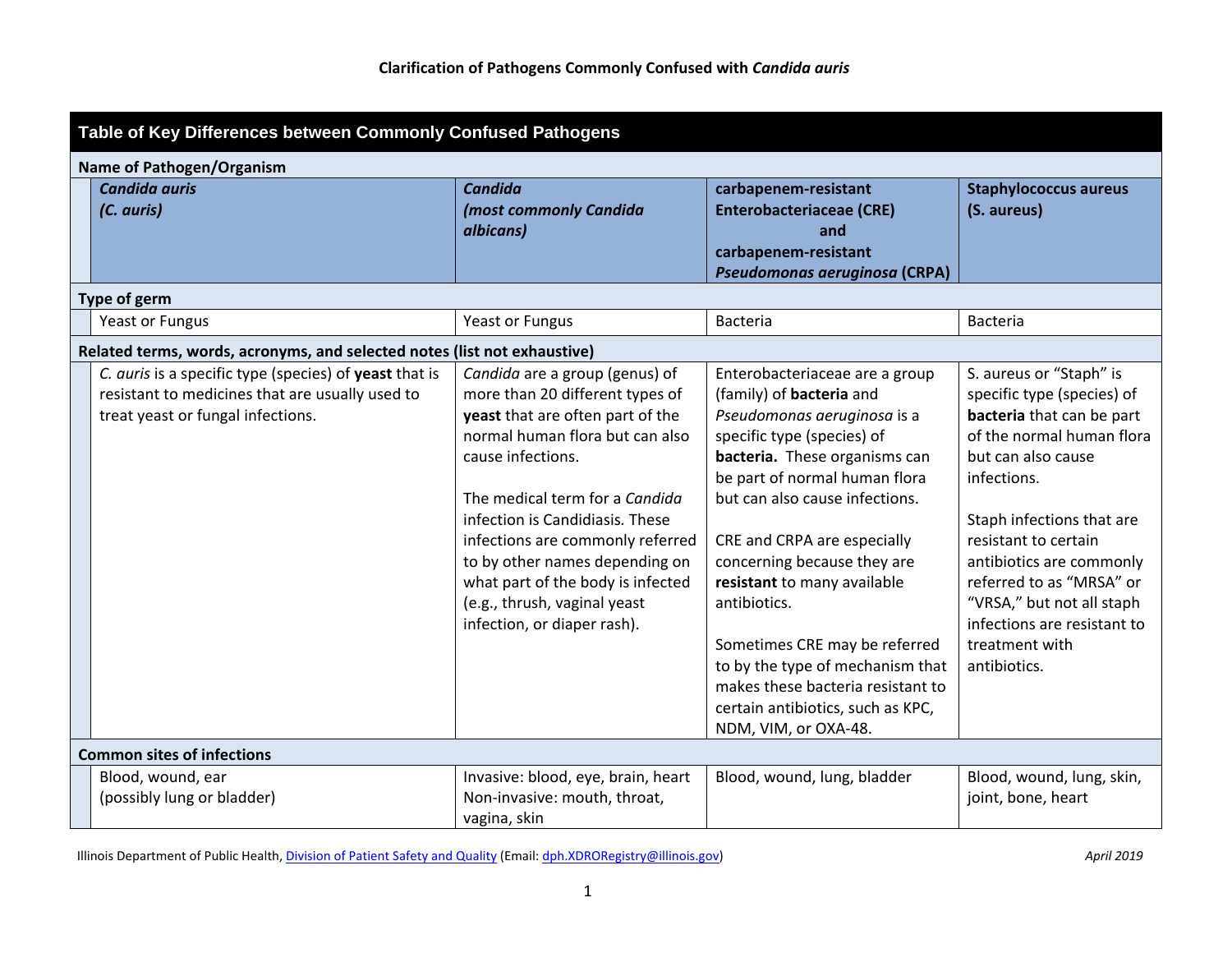| Table of Key Differences between Commonly Confused Pathogens             |                                                                                                                                                |                                                                                                                                                                                                                                                                                                                                                                                                              |                                                                                                                                                                                                                                                                                                                                                                                                                                                                                                                        |                                                                                                                                                                                                                                                                                                                                                                 |  |  |  |  |
|--------------------------------------------------------------------------|------------------------------------------------------------------------------------------------------------------------------------------------|--------------------------------------------------------------------------------------------------------------------------------------------------------------------------------------------------------------------------------------------------------------------------------------------------------------------------------------------------------------------------------------------------------------|------------------------------------------------------------------------------------------------------------------------------------------------------------------------------------------------------------------------------------------------------------------------------------------------------------------------------------------------------------------------------------------------------------------------------------------------------------------------------------------------------------------------|-----------------------------------------------------------------------------------------------------------------------------------------------------------------------------------------------------------------------------------------------------------------------------------------------------------------------------------------------------------------|--|--|--|--|
| <b>Name of Pathogen/Organism</b>                                         |                                                                                                                                                |                                                                                                                                                                                                                                                                                                                                                                                                              |                                                                                                                                                                                                                                                                                                                                                                                                                                                                                                                        |                                                                                                                                                                                                                                                                                                                                                                 |  |  |  |  |
|                                                                          | <b>Candida auris</b><br>(C. auris)                                                                                                             | <b>Candida</b><br>(most commonly Candida<br>albicans)                                                                                                                                                                                                                                                                                                                                                        | carbapenem-resistant<br><b>Enterobacteriaceae (CRE)</b><br>and<br>carbapenem-resistant<br>Pseudomonas aeruginosa (CRPA)                                                                                                                                                                                                                                                                                                                                                                                                | <b>Staphylococcus aureus</b><br>(S. aureus)                                                                                                                                                                                                                                                                                                                     |  |  |  |  |
|                                                                          | Type of germ                                                                                                                                   |                                                                                                                                                                                                                                                                                                                                                                                                              |                                                                                                                                                                                                                                                                                                                                                                                                                                                                                                                        |                                                                                                                                                                                                                                                                                                                                                                 |  |  |  |  |
|                                                                          | Yeast or Fungus                                                                                                                                | Yeast or Fungus                                                                                                                                                                                                                                                                                                                                                                                              | <b>Bacteria</b>                                                                                                                                                                                                                                                                                                                                                                                                                                                                                                        | <b>Bacteria</b>                                                                                                                                                                                                                                                                                                                                                 |  |  |  |  |
| Related terms, words, acronyms, and selected notes (list not exhaustive) |                                                                                                                                                |                                                                                                                                                                                                                                                                                                                                                                                                              |                                                                                                                                                                                                                                                                                                                                                                                                                                                                                                                        |                                                                                                                                                                                                                                                                                                                                                                 |  |  |  |  |
|                                                                          | C. auris is a specific type (species) of yeast that is<br>resistant to medicines that are usually used to<br>treat yeast or fungal infections. | Candida are a group (genus) of<br>more than 20 different types of<br>yeast that are often part of the<br>normal human flora but can also<br>cause infections.<br>The medical term for a Candida<br>infection is Candidiasis. These<br>infections are commonly referred<br>to by other names depending on<br>what part of the body is infected<br>(e.g., thrush, vaginal yeast<br>infection, or diaper rash). | Enterobacteriaceae are a group<br>(family) of <b>bacteria</b> and<br>Pseudomonas aeruginosa is a<br>specific type (species) of<br>bacteria. These organisms can<br>be part of normal human flora<br>but can also cause infections.<br>CRE and CRPA are especially<br>concerning because they are<br>resistant to many available<br>antibiotics.<br>Sometimes CRE may be referred<br>to by the type of mechanism that<br>makes these bacteria resistant to<br>certain antibiotics, such as KPC,<br>NDM, VIM, or OXA-48. | S. aureus or "Staph" is<br>specific type (species) of<br>bacteria that can be part<br>of the normal human flora<br>but can also cause<br>infections.<br>Staph infections that are<br>resistant to certain<br>antibiotics are commonly<br>referred to as "MRSA" or<br>"VRSA," but not all staph<br>infections are resistant to<br>treatment with<br>antibiotics. |  |  |  |  |
|                                                                          | <b>Common sites of infections</b>                                                                                                              |                                                                                                                                                                                                                                                                                                                                                                                                              |                                                                                                                                                                                                                                                                                                                                                                                                                                                                                                                        |                                                                                                                                                                                                                                                                                                                                                                 |  |  |  |  |
|                                                                          | Blood, wound, ear<br>(possibly lung or bladder)                                                                                                | Invasive: blood, eye, brain, heart<br>Non-invasive: mouth, throat,<br>vagina, skin                                                                                                                                                                                                                                                                                                                           | Blood, wound, lung, bladder                                                                                                                                                                                                                                                                                                                                                                                                                                                                                            | Blood, wound, lung, skin,<br>joint, bone, heart                                                                                                                                                                                                                                                                                                                 |  |  |  |  |